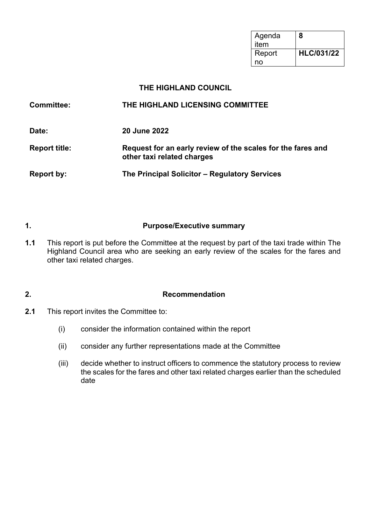| Agenda<br>item | 8                 |
|----------------|-------------------|
| Report         | <b>HLC/031/22</b> |
| no             |                   |

### **THE HIGHLAND COUNCIL**

| <b>Committee:</b>    | THE HIGHLAND LICENSING COMMITTEE                                                          |
|----------------------|-------------------------------------------------------------------------------------------|
| Date:                | <b>20 June 2022</b>                                                                       |
| <b>Report title:</b> | Request for an early review of the scales for the fares and<br>other taxi related charges |
| <b>Report by:</b>    | The Principal Solicitor – Regulatory Services                                             |

## **1. Purpose/Executive summary**

**1.1** This report is put before the Committee at the request by part of the taxi trade within The Highland Council area who are seeking an early review of the scales for the fares and other taxi related charges.

## **2. Recommendation**

- **2.1** This report invites the Committee to:
	- (i) consider the information contained within the report
	- (ii) consider any further representations made at the Committee
	- (iii) decide whether to instruct officers to commence the statutory process to review the scales for the fares and other taxi related charges earlier than the scheduled date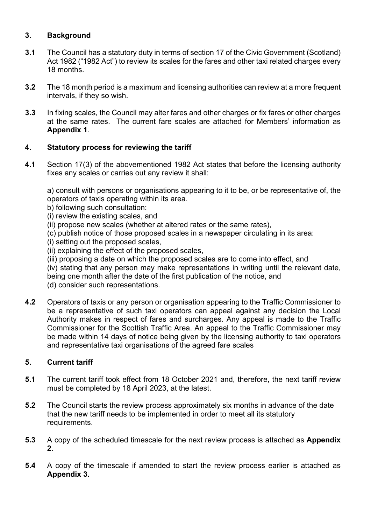## **3. Background**

- **3.1** The Council has a statutory duty in terms of section 17 of the Civic Government (Scotland) Act 1982 ("1982 Act") to review its scales for the fares and other taxi related charges every 18 months.
- **3.2** The 18 month period is a maximum and licensing authorities can review at a more frequent intervals, if they so wish.
- **3.3** In fixing scales, the Council may alter fares and other charges or fix fares or other charges at the same rates. The current fare scales are attached for Members' information as **Appendix 1**.

## **4. Statutory process for reviewing the tariff**

**4.1** Section 17(3) of the abovementioned 1982 Act states that before the licensing authority fixes any scales or carries out any review it shall:

a) consult with persons or organisations appearing to it to be, or be representative of, the operators of taxis operating within its area.

- b) following such consultation:
- (i) review the existing scales, and
- (ii) propose new scales (whether at altered rates or the same rates),
- (c) publish notice of those proposed scales in a newspaper circulating in its area:
- (i) setting out the proposed scales,
- (ii) explaining the effect of the proposed scales,
- (iii) proposing a date on which the proposed scales are to come into effect, and
- (iv) stating that any person may make representations in writing until the relevant date, being one month after the date of the first publication of the notice, and (d) consider such representations.
- **4.2** Operators of taxis or any person or organisation appearing to the Traffic Commissioner to be a representative of such taxi operators can appeal against any decision the Local Authority makes in respect of fares and surcharges. Any appeal is made to the Traffic Commissioner for the Scottish Traffic Area. An appeal to the Traffic Commissioner may be made within 14 days of notice being given by the licensing authority to taxi operators and representative taxi organisations of the agreed fare scales

#### **5. Current tariff**

- **5.1** The current tariff took effect from 18 October 2021 and, therefore, the next tariff review must be completed by 18 April 2023, at the latest.
- **5.2** The Council starts the review process approximately six months in advance of the date that the new tariff needs to be implemented in order to meet all its statutory requirements.
- **5.3** A copy of the scheduled timescale for the next review process is attached as **Appendix 2**.
- **5.4** A copy of the timescale if amended to start the review process earlier is attached as **Appendix 3.**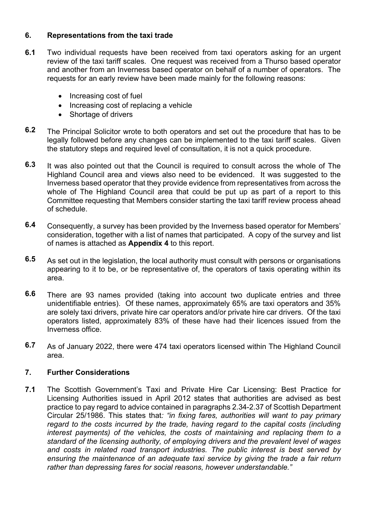#### **6. Representations from the taxi trade**

- **6.1** Two individual requests have been received from taxi operators asking for an urgent review of the taxi tariff scales. One request was received from a Thurso based operator and another from an Inverness based operator on behalf of a number of operators. The requests for an early review have been made mainly for the following reasons:
	- Increasing cost of fuel
	- Increasing cost of replacing a vehicle
	- Shortage of drivers
- **6.2** The Principal Solicitor wrote to both operators and set out the procedure that has to be legally followed before any changes can be implemented to the taxi tariff scales. Given the statutory steps and required level of consultation, it is not a quick procedure.
- **6.3** It was also pointed out that the Council is required to consult across the whole of The Highland Council area and views also need to be evidenced. It was suggested to the Inverness based operator that they provide evidence from representatives from across the whole of The Highland Council area that could be put up as part of a report to this Committee requesting that Members consider starting the taxi tariff review process ahead of schedule.
- **6.4** Consequently, a survey has been provided by the Inverness based operator for Members' consideration, together with a list of names that participated. A copy of the survey and list of names is attached as **Appendix 4** to this report.
- **6.5** As set out in the legislation, the local authority must consult with persons or organisations appearing to it to be, or be representative of, the operators of taxis operating within its area.
- **6.6** There are 93 names provided (taking into account two duplicate entries and three unidentifiable entries). Of these names, approximately 65% are taxi operators and 35% are solely taxi drivers, private hire car operators and/or private hire car drivers. Of the taxi operators listed, approximately 83% of these have had their licences issued from the Inverness office.
- **6.7**  As of January 2022, there were 474 taxi operators licensed within The Highland Council area.

#### **7. Further Considerations**

**7.1** The Scottish Government's Taxi and Private Hire Car Licensing: Best Practice for Licensing Authorities issued in April 2012 states that authorities are advised as best practice to pay regard to advice contained in paragraphs 2.34-2.37 of Scottish Department Circular 25/1986. This states that*: "in fixing fares, authorities will want to pay primary regard to the costs incurred by the trade, having regard to the capital costs (including*  interest payments) of the vehicles, the costs of maintaining and replacing them to a *standard of the licensing authority, of employing drivers and the prevalent level of wages and costs in related road transport industries. The public interest is best served by ensuring the maintenance of an adequate taxi service by giving the trade a fair return rather than depressing fares for social reasons, however understandable."*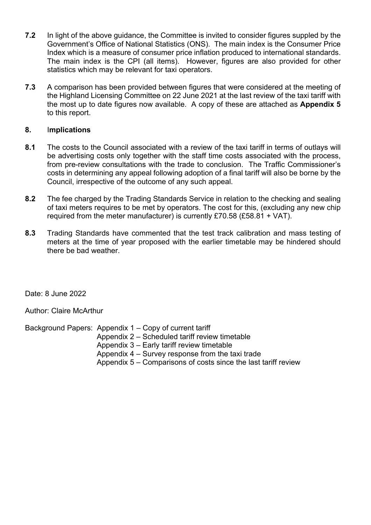- **7.2** In light of the above guidance, the Committee is invited to consider figures suppled by the Government's Office of National Statistics (ONS). The main index is the Consumer Price Index which is a measure of consumer price inflation produced to international standards. The main index is the CPI (all items). However, figures are also provided for other statistics which may be relevant for taxi operators.
- **7.3** A comparison has been provided between figures that were considered at the meeting of the Highland Licensing Committee on 22 June 2021 at the last review of the taxi tariff with the most up to date figures now available. A copy of these are attached as **Appendix 5** to this report.

#### **8.** I**mplications**

- **8.1** The costs to the Council associated with a review of the taxi tariff in terms of outlays will be advertising costs only together with the staff time costs associated with the process, from pre-review consultations with the trade to conclusion. The Traffic Commissioner's costs in determining any appeal following adoption of a final tariff will also be borne by the Council, irrespective of the outcome of any such appeal.
- **8.2** The fee charged by the Trading Standards Service in relation to the checking and sealing of taxi meters requires to be met by operators. The cost for this, (excluding any new chip required from the meter manufacturer) is currently £70.58 (£58.81 + VAT).
- **8.3** Trading Standards have commented that the test track calibration and mass testing of meters at the time of year proposed with the earlier timetable may be hindered should there be bad weather.

Date: 8 June 2022

Author: Claire McArthur

Background Papers: Appendix 1 – Copy of current tariff

- Appendix 2 Scheduled tariff review timetable
- Appendix 3 Early tariff review timetable
- Appendix 4 Survey response from the taxi trade
- Appendix 5 Comparisons of costs since the last tariff review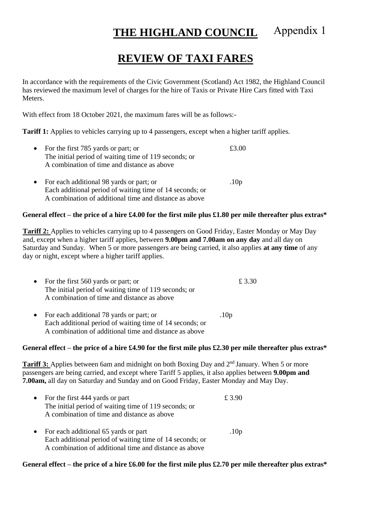#### **THE HIGHLAND COUNCIL** Appendix 1

# **REVIEW OF TAXI FARES**

In accordance with the requirements of the Civic Government (Scotland) Act 1982, the Highland Council has reviewed the maximum level of charges for the hire of Taxis or Private Hire Cars fitted with Taxi Meters.

With effect from 18 October 2021, the maximum fares will be as follows:-

**Tariff 1:** Applies to vehicles carrying up to 4 passengers, except when a higher tariff applies.

| • For the first $785$ yards or part; or<br>The initial period of waiting time of 119 seconds; or<br>A combination of time and distance as above |                  |
|-------------------------------------------------------------------------------------------------------------------------------------------------|------------------|
| • For each additional 98 yards or part; or<br>Each additional period of waiting time of 14 seconds; or                                          | .10 <sub>p</sub> |

A combination of additional time and distance as above

#### **General effect – the price of a hire £4.00 for the first mile plus £1.80 per mile thereafter plus extras\***

**Tariff 2:** Applies to vehicles carrying up to 4 passengers on Good Friday, Easter Monday or May Day and, except when a higher tariff applies, between **9.00pm and 7.00am on any day** and all day on Saturday and Sunday. When 5 or more passengers are being carried, it also applies **at any time** of any day or night, except where a higher tariff applies.

| • For the first $560$ yards or part; or               | £ 3.30 |
|-------------------------------------------------------|--------|
| The initial period of waiting time of 119 seconds; or |        |
| A combination of time and distance as above           |        |
|                                                       |        |

• For each additional 78 yards or part; or .10p Each additional period of waiting time of 14 seconds; or A combination of additional time and distance as above

#### **General effect – the price of a hire £4.90 for the first mile plus £2.30 per mile thereafter plus extras\***

**Tariff 3:** Applies between 6am and midnight on both Boxing Day and 2<sup>nd</sup> January. When 5 or more passengers are being carried, and except where Tariff 5 applies, it also applies between **9.00pm and 7.00am,** all day on Saturday and Sunday and on Good Friday, Easter Monday and May Day.

| • For the first 444 yards or part                        | £ 3.90 |
|----------------------------------------------------------|--------|
| The initial period of waiting time of 119 seconds; or    |        |
| A combination of time and distance as above              |        |
| $\bullet$ Equipped additional $\epsilon$ 5 young ou next |        |

• For each additional 65 yards or part .10p Each additional period of waiting time of 14 seconds; or A combination of additional time and distance as above

#### **General effect – the price of a hire £6.00 for the first mile plus £2.70 per mile thereafter plus extras\***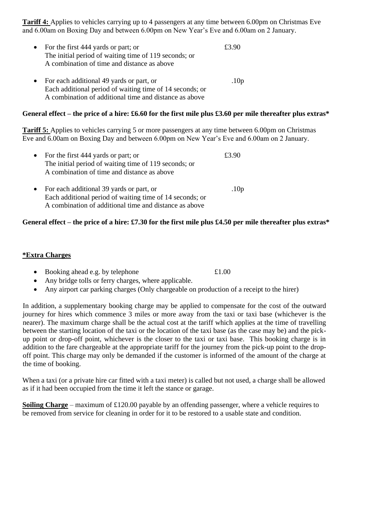**Tariff 4:** Applies to vehicles carrying up to 4 passengers at any time between 6.00pm on Christmas Eve and 6.00am on Boxing Day and between 6.00pm on New Year's Eve and 6.00am on 2 January.

- For the first 444 yards or part; or  $£3.90$ The initial period of waiting time of 119 seconds; or A combination of time and distance as above
- For each additional 49 yards or part, or .10p Each additional period of waiting time of 14 seconds; or A combination of additional time and distance as above

#### **General effect – the price of a hire: £6.60 for the first mile plus £3.60 per mile thereafter plus extras\***

**Tariff 5:** Applies to vehicles carrying 5 or more passengers at any time between 6.00pm on Christmas Eve and 6.00am on Boxing Day and between 6.00pm on New Year's Eve and 6.00am on 2 January.

| • For the first 444 yards or part; or                    | f3.90            |
|----------------------------------------------------------|------------------|
| The initial period of waiting time of 119 seconds; or    |                  |
| A combination of time and distance as above              |                  |
| • For each additional 39 yards or part, or               | .10 <sub>p</sub> |
| Each additional period of waiting time of 14 seconds; or |                  |
| A combination of additional time and distance as above   |                  |

#### **General effect – the price of a hire: £7.30 for the first mile plus £4.50 per mile thereafter plus extras\***

#### **\*Extra Charges**

- Booking ahead e.g. by telephone  $£1.00$
- Any bridge tolls or ferry charges, where applicable.
- Any airport car parking charges (Only chargeable on production of a receipt to the hirer)

In addition, a supplementary booking charge may be applied to compensate for the cost of the outward journey for hires which commence 3 miles or more away from the taxi or taxi base (whichever is the nearer). The maximum charge shall be the actual cost at the tariff which applies at the time of travelling between the starting location of the taxi or the location of the taxi base (as the case may be) and the pickup point or drop-off point, whichever is the closer to the taxi or taxi base. This booking charge is in addition to the fare chargeable at the appropriate tariff for the journey from the pick-up point to the dropoff point. This charge may only be demanded if the customer is informed of the amount of the charge at the time of booking.

When a taxi (or a private hire car fitted with a taxi meter) is called but not used, a charge shall be allowed as if it had been occupied from the time it left the stance or garage.

**Soiling Charge** – maximum of £120.00 payable by an offending passenger, where a vehicle requires to be removed from service for cleaning in order for it to be restored to a usable state and condition.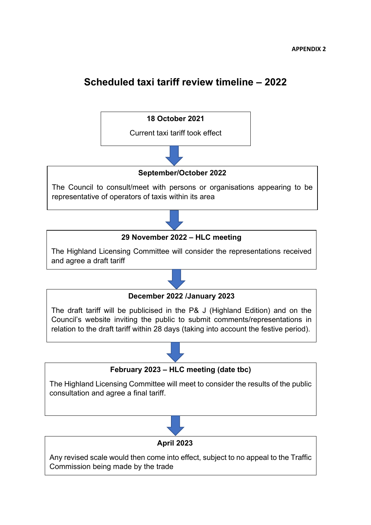# **Scheduled taxi tariff review timeline – 2022**



Any revised scale would then come into effect, subject to no appeal to the Traffic Commission being made by the trade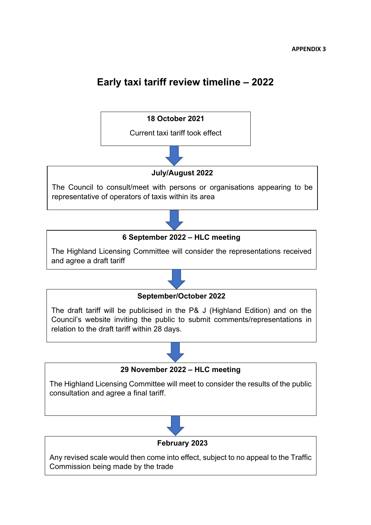# **Early taxi tariff review timeline – 2022**



Any revised scale would then come into effect, subject to no appeal to the Traffic Commission being made by the trade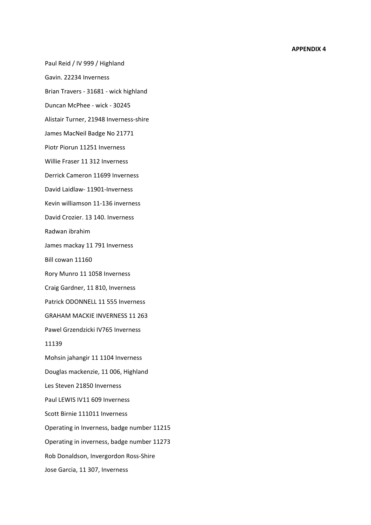#### **APPENDIX 4**

Paul Reid / IV 999 / Highland

Gavin. 22234 Inverness

Brian Travers - 31681 - wick highland

Duncan McPhee - wick - 30245

Alistair Turner, 21948 Inverness-shire

James MacNeil Badge No 21771

Piotr Piorun 11251 Inverness

Willie Fraser 11 312 Inverness

Derrick Cameron 11699 Inverness

David Laidlaw- 11901-Inverness

Kevin williamson 11-136 inverness

David Crozier. 13 140. Inverness

Radwan ibrahim

James mackay 11 791 Inverness

Bill cowan 11160

Rory Munro 11 1058 Inverness

Craig Gardner, 11 810, Inverness

Patrick ODONNELL 11 555 Inverness

GRAHAM MACKIE INVERNESS 11 263

Pawel Grzendzicki IV765 Inverness

11139

Mohsin jahangir 11 1104 Inverness

Douglas mackenzie, 11 006, Highland

Les Steven 21850 Inverness

Paul LEWIS IV11 609 Inverness

Scott Birnie 111011 Inverness

Operating in Inverness, badge number 11215

Operating in inverness, badge number 11273

Rob Donaldson, Invergordon Ross-Shire

Jose Garcia, 11 307, Inverness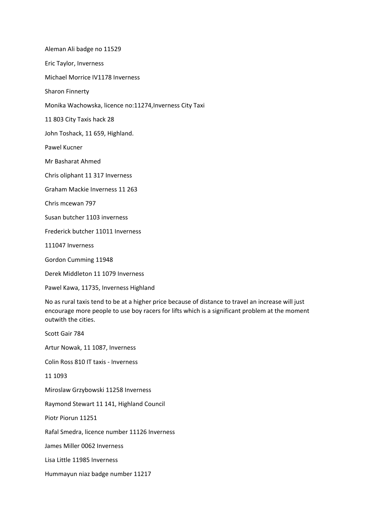Aleman Ali badge no 11529

Eric Taylor, Inverness

Michael Morrice IV1178 Inverness

Sharon Finnerty

Monika Wachowska, licence no:11274,Inverness City Taxi

11 803 City Taxis hack 28

John Toshack, 11 659, Highland.

Pawel Kucner

Mr Basharat Ahmed

Chris oliphant 11 317 Inverness

Graham Mackie Inverness 11 263

Chris mcewan 797

Susan butcher 1103 inverness

Frederick butcher 11011 Inverness

111047 Inverness

Gordon Cumming 11948

Derek Middleton 11 1079 Inverness

Pawel Kawa, 11735, Inverness Highland

No as rural taxis tend to be at a higher price because of distance to travel an increase will just encourage more people to use boy racers for lifts which is a significant problem at the moment outwith the cities.

Scott Gair 784 Artur Nowak, 11 1087, Inverness Colin Ross 810 IT taxis - Inverness 11 1093 Miroslaw Grzybowski 11258 Inverness Raymond Stewart 11 141, Highland Council Piotr Piorun 11251 Rafal Smedra, licence number 11126 Inverness James Miller 0062 Inverness Lisa Little 11985 Inverness Hummayun niaz badge number 11217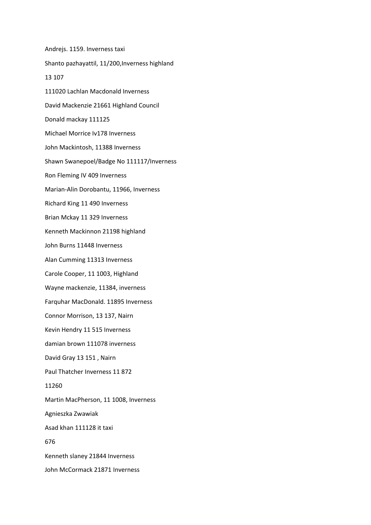Andrejs. 1159. Inverness taxi Shanto pazhayattil, 11/200,Inverness highland 13 107 111020 Lachlan Macdonald Inverness David Mackenzie 21661 Highland Council Donald mackay 111125 Michael Morrice Iv178 Inverness John Mackintosh, 11388 Inverness Shawn Swanepoel/Badge No 111117/Inverness Ron Fleming IV 409 Inverness Marian-Alin Dorobantu, 11966, Inverness Richard King 11 490 Inverness Brian Mckay 11 329 Inverness Kenneth Mackinnon 21198 highland John Burns 11448 Inverness Alan Cumming 11313 Inverness Carole Cooper, 11 1003, Highland Wayne mackenzie, 11384, inverness Farquhar MacDonald. 11895 Inverness Connor Morrison, 13 137, Nairn Kevin Hendry 11 515 Inverness damian brown 111078 inverness David Gray 13 151 , Nairn Paul Thatcher Inverness 11 872 11260 Martin MacPherson, 11 1008, Inverness Agnieszka Zwawiak Asad khan 111128 it taxi 676 Kenneth slaney 21844 Inverness John McCormack 21871 Inverness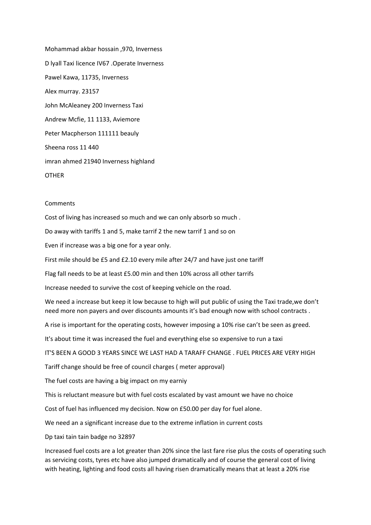Mohammad akbar hossain ,970, Inverness D lyall Taxi licence IV67 .Operate Inverness Pawel Kawa, 11735, Inverness Alex murray. 23157 John McAleaney 200 Inverness Taxi Andrew Mcfie, 11 1133, Aviemore Peter Macpherson 111111 beauly Sheena ross 11 440 imran ahmed 21940 Inverness highland **OTHER** 

#### **Comments**

Cost of living has increased so much and we can only absorb so much .

Do away with tariffs 1 and 5, make tarrif 2 the new tarrif 1 and so on

Even if increase was a big one for a year only.

First mile should be £5 and £2.10 every mile after 24/7 and have just one tariff

Flag fall needs to be at least £5.00 min and then 10% across all other tarrifs

Increase needed to survive the cost of keeping vehicle on the road.

We need a increase but keep it low because to high will put public of using the Taxi trade,we don't need more non payers and over discounts amounts it's bad enough now with school contracts .

A rise is important for the operating costs, however imposing a 10% rise can't be seen as greed.

It's about time it was increased the fuel and everything else so expensive to run a taxi

IT'S BEEN A GOOD 3 YEARS SINCE WE LAST HAD A TARAFF CHANGE . FUEL PRICES ARE VERY HIGH

Tariff change should be free of council charges ( meter approval)

The fuel costs are having a big impact on my earniy

This is reluctant measure but with fuel costs escalated by vast amount we have no choice

Cost of fuel has influenced my decision. Now on £50.00 per day for fuel alone.

We need an a significant increase due to the extreme inflation in current costs

Dp taxi tain tain badge no 32897

Increased fuel costs are a lot greater than 20% since the last fare rise plus the costs of operating such as servicing costs, tyres etc have also jumped dramatically and of course the general cost of living with heating, lighting and food costs all having risen dramatically means that at least a 20% rise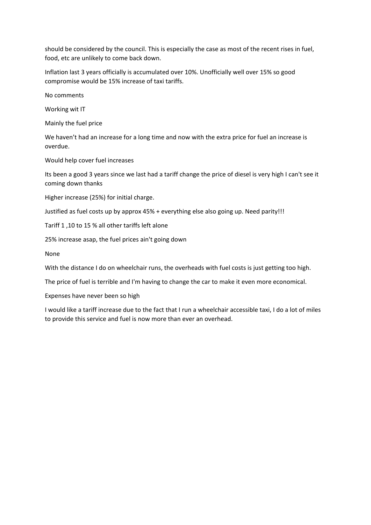should be considered by the council. This is especially the case as most of the recent rises in fuel, food, etc are unlikely to come back down.

Inflation last 3 years officially is accumulated over 10%. Unofficially well over 15% so good compromise would be 15% increase of taxi tariffs.

No comments

Working wit IT

Mainly the fuel price

We haven't had an increase for a long time and now with the extra price for fuel an increase is overdue.

Would help cover fuel increases

Its been a good 3 years since we last had a tariff change the price of diesel is very high I can't see it coming down thanks

Higher increase (25%) for initial charge.

Justified as fuel costs up by approx 45% + everything else also going up. Need parity!!!

Tariff 1 ,10 to 15 % all other tariffs left alone

25% increase asap, the fuel prices ain't going down

None

With the distance I do on wheelchair runs, the overheads with fuel costs is just getting too high.

The price of fuel is terrible and I'm having to change the car to make it even more economical.

Expenses have never been so high

I would like a tariff increase due to the fact that I run a wheelchair accessible taxi, I do a lot of miles to provide this service and fuel is now more than ever an overhead.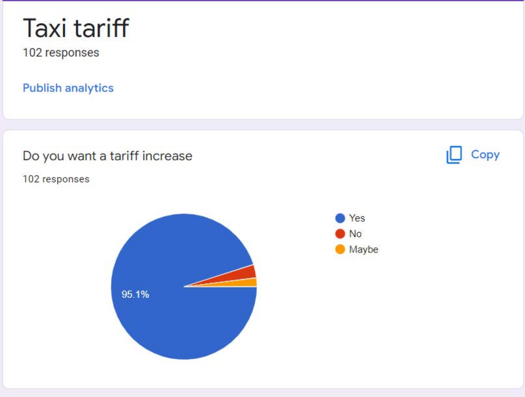# **Taxi tariff**

102 responses

**Publish analytics** 

# Do you want a tariff increase

102 responses





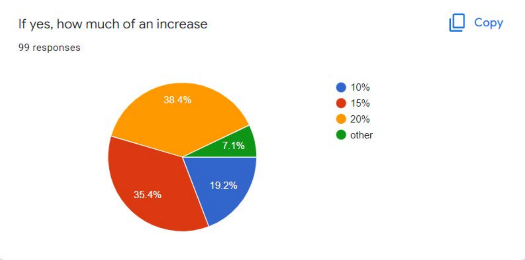



99 responses